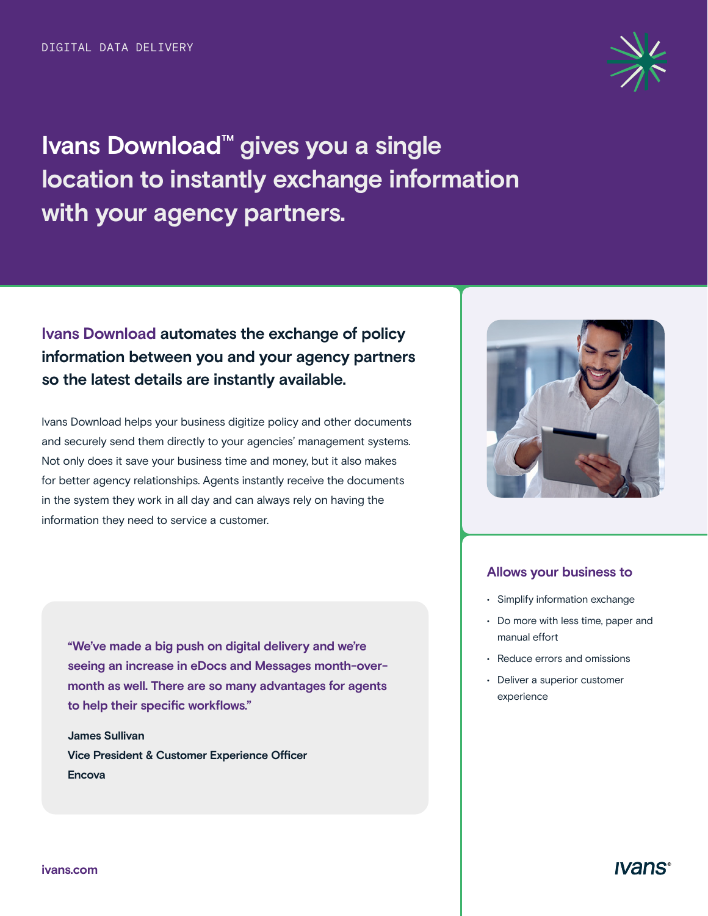

**Ivans Download™ gives you a single location to instantly exchange information with your agency partners.** 

# **Ivans Download automates the exchange of policy information between you and your agency partners so the latest details are instantly available.**

Ivans Download helps your business digitize policy and other documents and securely send them directly to your agencies' management systems. Not only does it save your business time and money, but it also makes for better agency relationships. Agents instantly receive the documents in the system they work in all day and can always rely on having the information they need to service a customer.

**"We've made a big push on digital delivery and we're seeing an increase in eDocs and Messages month-overmonth as well. There are so many advantages for agents to help their specific workflows."**

**James Sullivan Vice President & Customer Experience Officer Encova** 



#### **Allows your business to**

- Simplify information exchange
- Do more with less time, paper and manual effort
- Reduce errors and omissions
- Deliver a superior customer experience